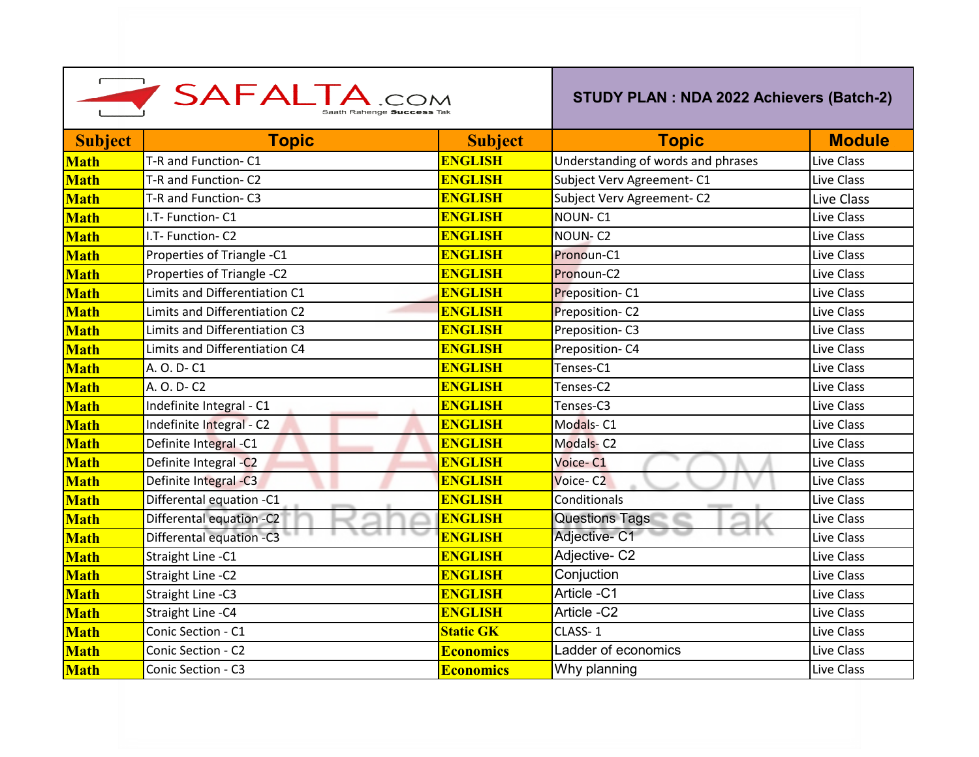| SAFALTA.COM    |                               |                  | STUDY PLAN : NDA 2022 Achievers (Batch-2) |               |
|----------------|-------------------------------|------------------|-------------------------------------------|---------------|
| <b>Subject</b> | <b>Topic</b>                  | <b>Subject</b>   | <b>Topic</b>                              | <b>Module</b> |
| <b>Math</b>    | T-R and Function-C1           | <b>ENGLISH</b>   | Understanding of words and phrases        | Live Class    |
| <b>Math</b>    | T-R and Function- C2          | <b>ENGLISH</b>   | Subject Verv Agreement- C1                | Live Class    |
| <b>Math</b>    | T-R and Function-C3           | <b>ENGLISH</b>   | Subject Verv Agreement-C2                 | Live Class    |
| <b>Math</b>    | I.T- Function- C1             | <b>ENGLISH</b>   | NOUN-C1                                   | Live Class    |
| <b>Math</b>    | I.T- Function- C2             | <b>ENGLISH</b>   | NOUN-C <sub>2</sub>                       | Live Class    |
| <b>Math</b>    | Properties of Triangle -C1    | <b>ENGLISH</b>   | Pronoun-C1                                | Live Class    |
| <b>Math</b>    | Properties of Triangle -C2    | <b>ENGLISH</b>   | Pronoun-C2                                | Live Class    |
| <b>Math</b>    | Limits and Differentiation C1 | <b>ENGLISH</b>   | Preposition-C1                            | Live Class    |
| <b>Math</b>    | Limits and Differentiation C2 | <b>ENGLISH</b>   | Preposition-C2                            | Live Class    |
| <b>Math</b>    | Limits and Differentiation C3 | <b>ENGLISH</b>   | Preposition-C3                            | Live Class    |
| <b>Math</b>    | Limits and Differentiation C4 | <b>ENGLISH</b>   | Preposition-C4                            | Live Class    |
| <b>Math</b>    | A. O. D- C1                   | <b>ENGLISH</b>   | Tenses-C1                                 | Live Class    |
| <b>Math</b>    | A. O. D- C2                   | <b>ENGLISH</b>   | Tenses-C2                                 | Live Class    |
| <b>Math</b>    | Indefinite Integral - C1      | <b>ENGLISH</b>   | Tenses-C3                                 | Live Class    |
| <b>Math</b>    | Indefinite Integral - C2      | <b>ENGLISH</b>   | Modals-C1                                 | Live Class    |
| <b>Math</b>    | Definite Integral -C1         | <b>ENGLISH</b>   | <b>Modals-C2</b>                          | Live Class    |
| <b>Math</b>    | Definite Integral -C2         | <b>ENGLISH</b>   | Voice-C1                                  | Live Class    |
| <b>Math</b>    | Definite Integral -C3         | <b>ENGLISH</b>   | Voice-C <sub>2</sub>                      | Live Class    |
| <b>Math</b>    | Differental equation -C1      | <b>ENGLISH</b>   | Conditionals                              | Live Class    |
| <b>Math</b>    | Differental equation -C2      | <b>ENGLISH</b>   | <b>Questions Tags</b>                     | Live Class    |
| <b>Math</b>    | Differental equation -C3      | <b>ENGLISH</b>   | Adjective- C1                             | Live Class    |
| <b>Math</b>    | Straight Line - C1            | <b>ENGLISH</b>   | Adjective-C2                              | Live Class    |
| <b>Math</b>    | Straight Line - C2            | <b>ENGLISH</b>   | Conjuction                                | Live Class    |
| <b>Math</b>    | Straight Line -C3             | <b>ENGLISH</b>   | Article -C1                               | Live Class    |
| <b>Math</b>    | Straight Line - C4            | <b>ENGLISH</b>   | Article -C2                               | Live Class    |
| <b>Math</b>    | Conic Section - C1            | <b>Static GK</b> | CLASS-1                                   | Live Class    |
| <b>Math</b>    | Conic Section - C2            | <b>Economics</b> | Ladder of economics                       | Live Class    |
| <b>Math</b>    | Conic Section - C3            | <b>Economics</b> | Why planning                              | Live Class    |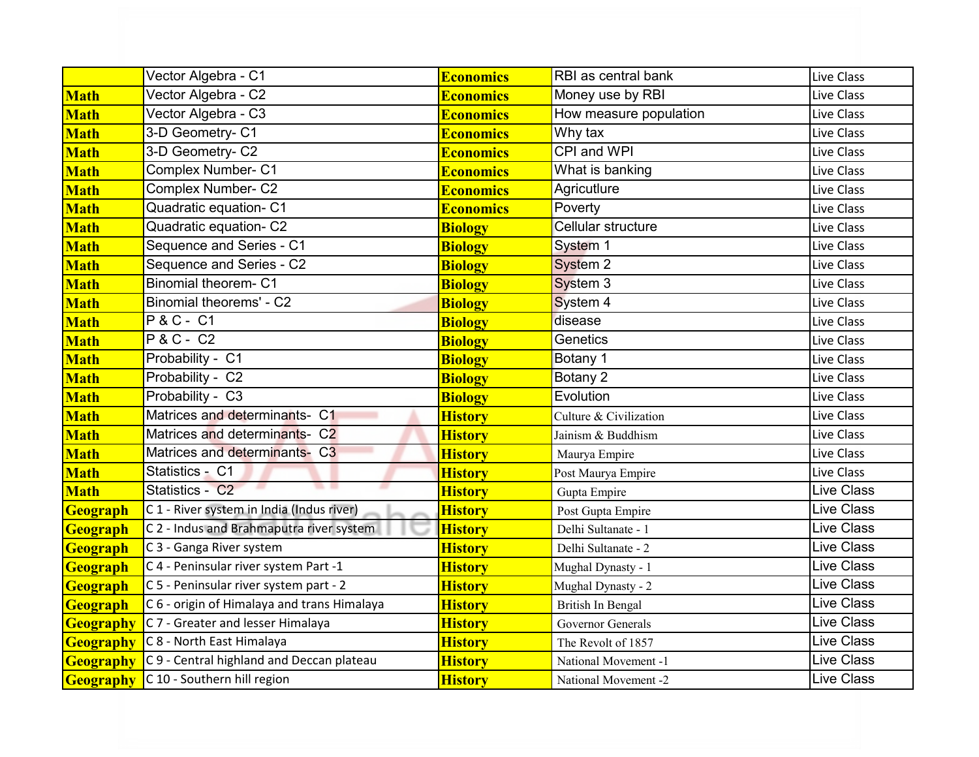|                  | Vector Algebra - C1                                        | <b>Economics</b> | RBI as central bank    | Live Class        |
|------------------|------------------------------------------------------------|------------------|------------------------|-------------------|
| <b>Math</b>      | Vector Algebra - C2                                        | <b>Economics</b> | Money use by RBI       | Live Class        |
| <b>Math</b>      | Vector Algebra - C3                                        | <b>Economics</b> | How measure population | Live Class        |
| <b>Math</b>      | 3-D Geometry- C1                                           | <b>Economics</b> | Why tax                | Live Class        |
| <b>Math</b>      | 3-D Geometry- C2                                           | <b>Economics</b> | CPI and WPI            | Live Class        |
| <b>Math</b>      | <b>Complex Number- C1</b>                                  | <b>Economics</b> | What is banking        | Live Class        |
| <b>Math</b>      | <b>Complex Number- C2</b>                                  | <b>Economics</b> | Agricutlure            | Live Class        |
| <b>Math</b>      | Quadratic equation- C1                                     | <b>Economics</b> | Poverty                | Live Class        |
| <b>Math</b>      | Quadratic equation- C2                                     | <b>Biology</b>   | Cellular structure     | Live Class        |
| <b>Math</b>      | Sequence and Series - C1                                   | <b>Biology</b>   | System 1               | Live Class        |
| <b>Math</b>      | Sequence and Series - C2                                   | <b>Biology</b>   | System 2               | Live Class        |
| <b>Math</b>      | Binomial theorem-C1                                        | <b>Biology</b>   | System 3               | Live Class        |
| <b>Math</b>      | Binomial theorems' - C2                                    | <b>Biology</b>   | System 4               | Live Class        |
| <b>Math</b>      | <b>P&amp;C-C1</b>                                          | <b>Biology</b>   | disease                | Live Class        |
| <b>Math</b>      | <b>P&amp;C-C2</b>                                          | <b>Biology</b>   | Genetics               | Live Class        |
| <b>Math</b>      | Probability - C1                                           | <b>Biology</b>   | Botany 1               | Live Class        |
| <b>Math</b>      | Probability - C2                                           | <b>Biology</b>   | Botany 2               | Live Class        |
| <b>Math</b>      | Probability - C3                                           | <b>Biology</b>   | Evolution              | Live Class        |
| <b>Math</b>      | Matrices and determinants- C1                              | <b>History</b>   | Culture & Civilization | Live Class        |
| <b>Math</b>      | Matrices and determinants- C2                              | <b>History</b>   | Jainism & Buddhism     | Live Class        |
| <b>Math</b>      | Matrices and determinants- C3                              | <b>History</b>   | Maurya Empire          | Live Class        |
| <b>Math</b>      | Statistics - C1                                            | <b>History</b>   | Post Maurya Empire     | Live Class        |
| <b>Math</b>      | . .<br>×<br>Statistics - C2                                | <b>History</b>   | Gupta Empire           | Live Class        |
| Geograph         | C 1 - River system in India (Indus river)                  | <b>History</b>   | Post Gupta Empire      | Live Class        |
| Geograph         | C 2 - Indus and Brahmaputra river system                   | <b>History</b>   | Delhi Sultanate - 1    | Live Class        |
| Geograph         | C 3 - Ganga River system                                   | <b>History</b>   | Delhi Sultanate - 2    | <b>Live Class</b> |
| Geograph         | C 4 - Peninsular river system Part -1                      | <b>History</b>   | Mughal Dynasty - 1     | Live Class        |
| Geograph         | C 5 - Peninsular river system part - 2                     | <b>History</b>   | Mughal Dynasty - 2     | <b>Live Class</b> |
| Geograph         | C 6 - origin of Himalaya and trans Himalaya                | <b>History</b>   | British In Bengal      | Live Class        |
| <b>Geography</b> | C 7 - Greater and lesser Himalaya                          | <b>History</b>   | Governor Generals      | Live Class        |
| <b>Geography</b> | C 8 - North East Himalaya                                  | <b>History</b>   | The Revolt of 1857     | Live Class        |
|                  | <b>Geography</b> C 9 - Central highland and Deccan plateau | <b>History</b>   | National Movement -1   | Live Class        |
|                  | Geography C 10 - Southern hill region                      | <b>History</b>   | National Movement -2   | <b>Live Class</b> |